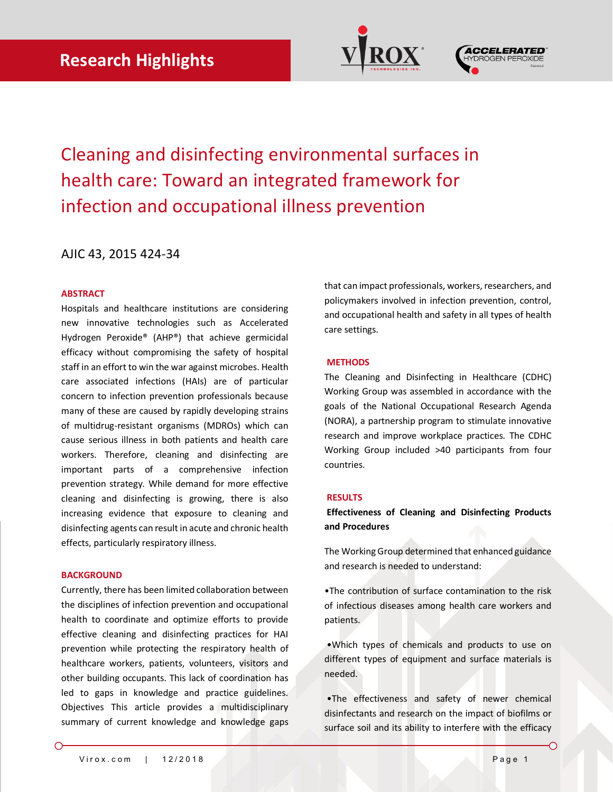



Cleaning and disinfecting environmental surfaces in health care: Toward an integrated framework for infection and occupational illness prevention

# AJIC 43, 2015 424-34

## **ABSTRACT**

Hospitals and healthcare institutions are considering new innovative technologies such as Accelerated Hydrogen Peroxide® (AHP®) that achieve germicidal efficacy without compromising the safety of hospital staff in an effort to win the war against microbes. Health care associated infections (HAIs) are of particular concern to infection prevention professionals because many of these are caused by rapidly developing strains of multidrug-resistant organisms (MDROs) which can cause serious illness in both patients and health care workers. Therefore, cleaning and disinfecting are important parts of a comprehensive infection prevention strategy. While demand for more effective cleaning and disinfecting is growing, there is also increasing evidence that exposure to cleaning and disinfecting agents can result in acute and chronic health effects, particularly respiratory illness.

### **BACKGROUND**

Currently, there has been limited collaboration between the disciplines of infection prevention and occupational health to coordinate and optimize efforts to provide effective cleaning and disinfecting practices for HAI prevention while protecting the respiratory health of healthcare workers, patients, volunteers, visitors and other building occupants. This lack of coordination has led to gaps in knowledge and practice guidelines. Objectives This article provides a multidisciplinary summary of current knowledge and knowledge gaps

that can impact professionals, workers, researchers, and policymakers involved in infection prevention, control, and occupational health and safety in all types of health care settings.

## **METHODS**

The Cleaning and Disinfecting in Healthcare (CDHC) Working Group was assembled in accordance with the goals of the National Occupational Research Agenda (NORA), a partnership program to stimulate innovative research and improve workplace practices. The CDHC Working Group included >40 participants from four countries.

#### **RESULTS**

# **Effectiveness of Cleaning and Disinfecting Products and Procedures**

The Working Group determined that enhanced guidance and research is needed to understand:

•The contribution of surface contamination to the risk of infectious diseases among health care workers and patients.

•Which types of chemicals and products to use on different types of equipment and surface materials is needed.

•The effectiveness and safety of newer chemical disinfectants and research on the impact of biofilms or surface soil and its ability to interfere with the efficacy